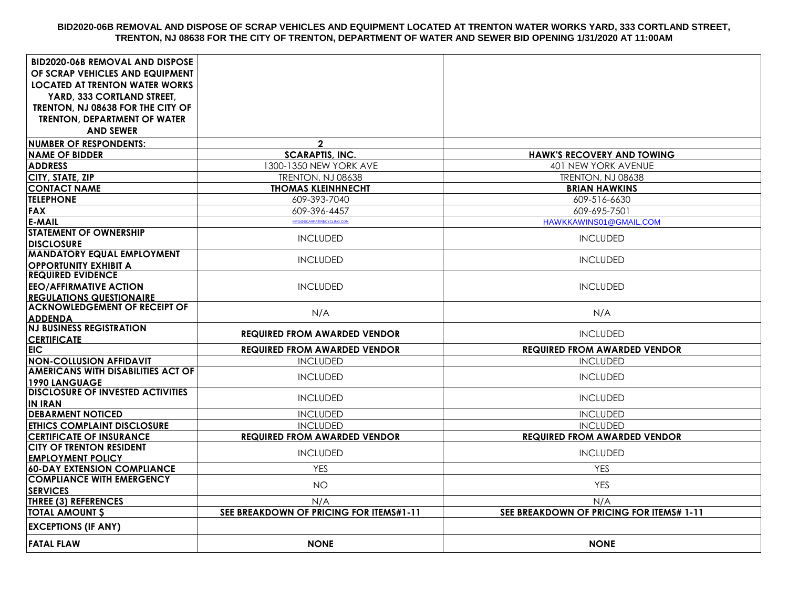## **BID2020-06B REMOVAL AND DISPOSE OF SCRAP VEHICLES AND EQUIPMENT LOCATED AT TRENTON WATER WORKS YARD, 333 CORTLAND STREET, TRENTON, NJ 08638 FOR THE CITY OF TRENTON, DEPARTMENT OF WATER AND SEWER BID OPENING 1/31/2020 AT 11:00AM**

| <b>BID2020-06B REMOVAL AND DISPOSE</b><br>OF SCRAP VEHICLES AND EQUIPMENT |                                         |                                          |
|---------------------------------------------------------------------------|-----------------------------------------|------------------------------------------|
| <b>LOCATED AT TRENTON WATER WORKS</b>                                     |                                         |                                          |
| YARD, 333 CORTLAND STREET,                                                |                                         |                                          |
| TRENTON, NJ 08638 FOR THE CITY OF                                         |                                         |                                          |
| <b>TRENTON, DEPARTMENT OF WATER</b>                                       |                                         |                                          |
| <b>AND SEWER</b>                                                          |                                         |                                          |
| <b>NUMBER OF RESPONDENTS:</b>                                             | $\mathbf{2}$                            |                                          |
| <b>NAME OF BIDDER</b>                                                     | <b>SCARAPTIS, INC.</b>                  | <b>HAWK'S RECOVERY AND TOWING</b>        |
| <b>ADDRESS</b>                                                            | 1300-1350 NEW YORK AVE                  | 401 NEW YORK AVENUE                      |
| CITY, STATE, ZIP                                                          | TRENTON, NJ 08638                       | TRENTON, NJ 08638                        |
| <b>CONTACT NAME</b>                                                       | <b>THOMAS KLEINHNECHT</b>               | <b>BRIAN HAWKINS</b>                     |
| <b>TELEPHONE</b>                                                          | 609-393-7040                            | 609-516-6630                             |
| <b>FAX</b>                                                                | 609-396-4457                            | 609-695-7501                             |
| <b>E-MAIL</b>                                                             | INFO@SCARPATIRECYCLING.COM              | HAWKKAWINS01@GMAIL.COM                   |
| <b>STATEMENT OF OWNERSHIP</b>                                             | <b>INCLUDED</b>                         | <b>INCLUDED</b>                          |
| <b>DISCLOSURE</b>                                                         |                                         |                                          |
| <b>MANDATORY EQUAL EMPLOYMENT</b>                                         | <b>INCLUDED</b>                         | <b>INCLUDED</b>                          |
| <b>OPPORTUNITY EXHIBIT A</b><br><b>REQUIRED EVIDENCE</b>                  |                                         |                                          |
| <b>EEO/AFFIRMATIVE ACTION</b>                                             | <b>INCLUDED</b>                         | <b>INCLUDED</b>                          |
| <b>REGULATIONS QUESTIONAIRE</b>                                           |                                         |                                          |
| <b>ACKNOWLEDGEMENT OF RECEIPT OF</b>                                      |                                         |                                          |
| <b>ADDENDA</b>                                                            | N/A                                     | N/A                                      |
| <b>NJ BUSINESS REGISTRATION</b>                                           | <b>REQUIRED FROM AWARDED VENDOR</b>     | <b>INCLUDED</b>                          |
| <b>CERTIFICATE</b>                                                        |                                         |                                          |
| EIC.                                                                      | <b>REQUIRED FROM AWARDED VENDOR</b>     | <b>REQUIRED FROM AWARDED VENDOR</b>      |
| <b>NON-COLLUSION AFFIDAVIT</b>                                            | <b>INCLUDED</b>                         | <b>INCLUDED</b>                          |
| AMERICANS WITH DISABILITIES ACT OF                                        | <b>INCLUDED</b>                         | <b>INCLUDED</b>                          |
| <b>1990 LANGUAGE</b><br><b>DISCLOSURE OF INVESTED ACTIVITIES</b>          |                                         |                                          |
| <b>IN IRAN</b>                                                            | <b>INCLUDED</b>                         | <b>INCLUDED</b>                          |
| <b>DEBARMENT NOTICED</b>                                                  | <b>INCLUDED</b>                         | <b>INCLUDED</b>                          |
| <b>ETHICS COMPLAINT DISCLOSURE</b>                                        | <b>INCLUDED</b>                         | <b>INCLUDED</b>                          |
| <b>CERTIFICATE OF INSURANCE</b>                                           | <b>REQUIRED FROM AWARDED VENDOR</b>     | <b>REQUIRED FROM AWARDED VENDOR</b>      |
| <b>CITY OF TRENTON RESIDENT</b>                                           | <b>INCLUDED</b>                         | <b>INCLUDED</b>                          |
| <b>EMPLOYMENT POLICY</b>                                                  |                                         |                                          |
| <b>60-DAY EXTENSION COMPLIANCE</b>                                        | <b>YES</b>                              | <b>YES</b>                               |
| <b>COMPLIANCE WITH EMERGENCY</b><br><b>SERVICES</b>                       | <b>NO</b>                               | <b>YES</b>                               |
| <b>THREE (3) REFERENCES</b>                                               | N/A                                     | N/A                                      |
| <b>TOTAL AMOUNT \$</b>                                                    | SEE BREAKDOWN OF PRICING FOR ITEMS#1-11 | SEE BREAKDOWN OF PRICING FOR ITEMS# 1-11 |
|                                                                           |                                         |                                          |
| <b>EXCEPTIONS (IF ANY)</b>                                                |                                         |                                          |
| <b>FATAL FLAW</b>                                                         | <b>NONE</b>                             | <b>NONE</b>                              |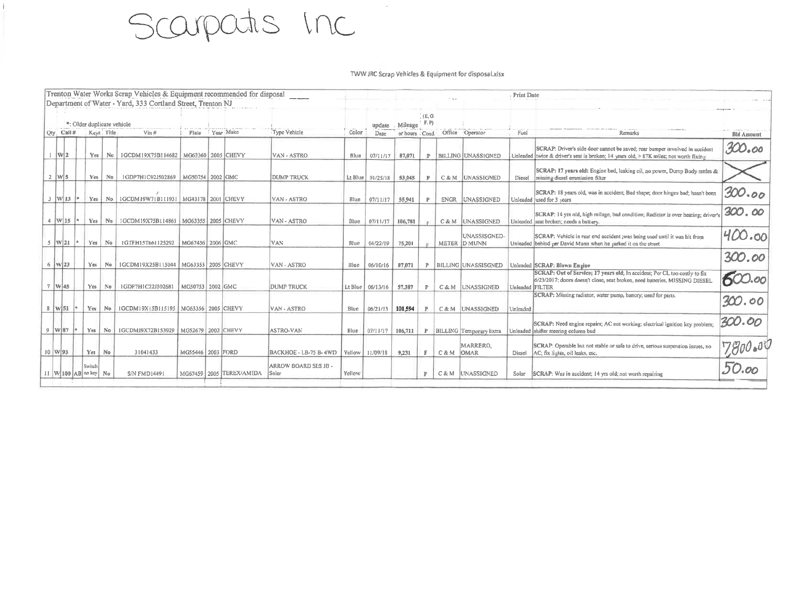## Scarpatis Inc

## TWW JRC Scrap Vehicles & Equipment for disposal xlsx

|                                                                                                                                                      |            |     | Trenton Water Works Scrap Vehicles & Equipment recommended for disposal |                    |  |                          |                               |                |                   |                   |              |                                |                              | Print Date      |                                                                                                                                                                      |          |
|------------------------------------------------------------------------------------------------------------------------------------------------------|------------|-----|-------------------------------------------------------------------------|--------------------|--|--------------------------|-------------------------------|----------------|-------------------|-------------------|--------------|--------------------------------|------------------------------|-----------------|----------------------------------------------------------------------------------------------------------------------------------------------------------------------|----------|
| Department of Water - Yard, 333 Cortland Street, Trenton NJ<br>*: Older duplicate vehicle<br>Year Make<br>Qty Call # Keys Title<br>$V$ in #<br>Plate |            |     |                                                                         |                    |  | Type Vehicle             | Color                         | undate<br>Date | Mileage           | (E, G)<br>$'$ F.P |              | or hours Cond. Office Operator | Fuel                         | Remarks         | <b>Bid Amount</b>                                                                                                                                                    |          |
| $1 \le 2$                                                                                                                                            | <b>Yes</b> | No  | 1GCDM19X75B114682                                                       | MG63360 2005 CHEVY |  |                          | VAN - ASTRO                   | Blue           | 07/11/17          | 87,071            |              |                                | P BILLING UNASSIGNED         |                 | SCRAP: Driver's side door cannot be saved; rear bumper involved in accident<br>Unleaded twice & driver's seat is broken; 14 years old, > 87K miles; not worth fixing | 300.00   |
| $2 \mid W \mid 5$                                                                                                                                    | Yes.       | No  | 1GDP7H1C92J502869                                                       | MG50754 2002 GMC   |  |                          | <b>DUMP TRUCK</b>             |                | Lt Blue 01/25/18  | 53.045            | $\mathbb{P}$ |                                | C & M UNASSIGNED             | Diesel          | SCRAP: 17 years old: Engine bad, leaking oil, no power, Dump Body rattles &<br>missing diesel emmission filter                                                       |          |
| $3$ W 13                                                                                                                                             | Yes        |     | No   IGCDM19W71B111931   MG43178   2001 CHEVY                           |                    |  |                          | VAN - ASTRO                   | Blue           | 07/11/17          | 55,941            |              | <b>ENGR</b>                    | UNASSIGNED                   |                 | SCRAP: 18 years old, was in accident; Bad shape; door hinges bad; hasn't been<br>Unleaded used for 3 years                                                           | 300.00   |
| $4 \text{ W} 15 \text{ *}$                                                                                                                           | Yes        | Nu  | IGCDM19X75B114861   MG63355   2005 CHEVY                                |                    |  |                          | VAN - ASTRO                   | Blue           | 07/11/17          | 106,781           |              |                                | C & M UNASSIGNED             |                 | SCRAP: 14 yrs old, high milage, bad condition; Radiator is over heating; driver's<br>Unleaded seat broken; needs a battery.                                          | 300.00   |
| $5 \mid W21$                                                                                                                                         | Yes        | No. | IGTFH15T661125292                                                       | MG67456 2006 GMC   |  |                          | VAN                           | Blue           | 04/22/19          | 75.201            |              |                                | UNASSISGNED-<br>METER D MUNN |                 | SCRAP: Vehicle in rear end accident ; was being used until it was hit from<br>Unleaded behind per David Munn when he parked it ca the street                         | 400.00   |
| $6 \frac{1}{1} W 23$                                                                                                                                 | Yes        | Na  | 1GCDM19X25B115044                                                       | MG63353 2005 CHEVY |  |                          | VAN - ASTRO                   | Blue           | 06/10/16          | 87.071            |              |                                | P BILLING UNASSISGNED        |                 | Unleaded SCRAP: Blown Engine                                                                                                                                         | 300.00   |
| $7$ W 45                                                                                                                                             | Yes.       | No. | 1GDP7H1C22J502681                                                       | MG50753 2002 GMC   |  |                          | <b>DUMP TRUCK</b>             | Lt Blue        | 06/13/16          | 57.387            | P            |                                | C & M UNASSIGNED             | Unleaded FILTER | SCRAP: Out of Service; 17 years old; In accident; Per CL too costly to fix<br>6/23/2017; doors doesn't close, seat broken, need batteries, MISSING DIESEL            | 600.00   |
| $8$   W $51$   *                                                                                                                                     |            |     | Yes   No   IGCDM19X15B115195   MG63356   2005 CHEVY                     |                    |  |                          | VAN - ASTRO                   | Blue.          | 06/21/13          | 101.594           |              |                                | C&M UNASSIGNED               | Unicaded        | SCRAP: Missing radiator, water pump, battery; used for parts.                                                                                                        | 300.00   |
| $9$ W 87                                                                                                                                             | Yes        | No. | IGCDMI9X72B153929   MG52679   2002 CHEVY                                |                    |  |                          | ASTRO-VAN                     | Blue           | 07/11/17          | 106,711           |              |                                | P BILLING Temporary Extra    |                 | SCRAP: Need engine repairs; AC not working; electrical ignition key problem;<br>Unleaded shifter steering column bad                                                 | 300.00   |
| $10 \text{ W}93$                                                                                                                                     | Yes No     |     | 31041433                                                                | MG55446 2003 FORD  |  |                          | BACKHOE - LB-75 B-4WD         |                | Yellow   11/09/18 | 9,231             | F.           | C&M OMAR                       | MARRERO.                     | Diesel          | SCRAP: Operable but not stable or safe to drive, serious suspension issues, no<br>AC; fix lights, oil leaks, etc.                                                    | 7,800.04 |
| $11$ W 100 AB no key No                                                                                                                              | Switch     |     | S/N FMD14491                                                            |                    |  | MG67459 2005 TEREX/AMIDA | ARROW BOARD SES JB -<br>Solar | Yellow         |                   |                   | $\mathbb{P}$ |                                | C&M UNASSIGNED               | Solar           | SCRAP: Was in accident; 14 yrs old; not worth repairing                                                                                                              | 50.00    |